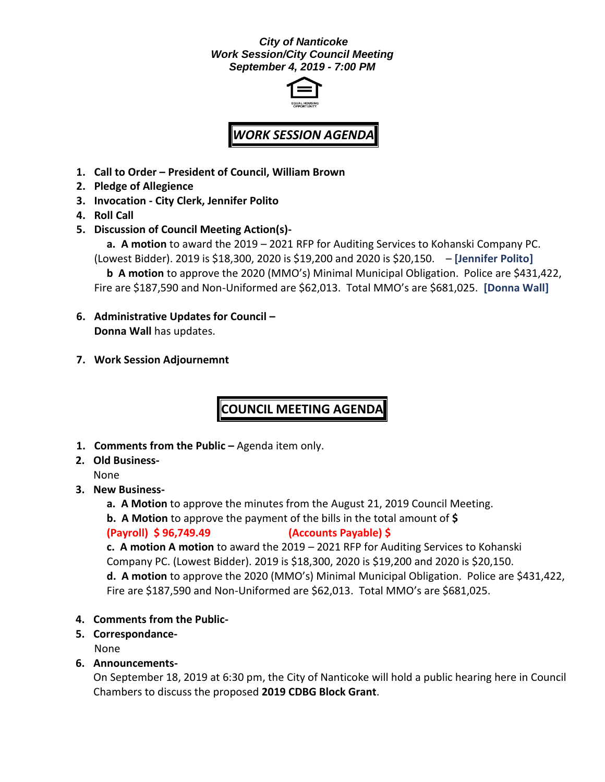#### *City of Nanticoke Work Session/City Council Meeting September 4, 2019 - 7:00 PM*



# *WORK SESSION AGENDA*

- **1. Call to Order – President of Council, William Brown**
- **2. Pledge of Allegience**
- **3. Invocation - City Clerk, Jennifer Polito**
- **4. Roll Call**
- **5. Discussion of Council Meeting Action(s)-**

**a. A motion** to award the 2019 – 2021 RFP for Auditing Services to Kohanski Company PC. (Lowest Bidder). 2019 is \$18,300, 2020 is \$19,200 and 2020 is \$20,150. – **[Jennifer Polito]**

**b A motion** to approve the 2020 (MMO's) Minimal Municipal Obligation. Police are \$431,422, Fire are \$187,590 and Non-Uniformed are \$62,013. Total MMO's are \$681,025. **[Donna Wall]**

- **6. Administrative Updates for Council – Donna Wall** has updates.
- **7. Work Session Adjournemnt**

## **COUNCIL MEETING AGENDA**

- **1. Comments from the Public –** Agenda item only.
- **2. Old Business-**

None

- **3. New Business**
	- **a. A Motion** to approve the minutes from the August 21, 2019 Council Meeting.
	- **b. A Motion** to approve the payment of the bills in the total amount of **\$**

#### **(Payroll) \$ 96,749.49 (Accounts Payable) \$**

**c. A motion A motion** to award the 2019 – 2021 RFP for Auditing Services to Kohanski Company PC. (Lowest Bidder). 2019 is \$18,300, 2020 is \$19,200 and 2020 is \$20,150. **d. A motion** to approve the 2020 (MMO's) Minimal Municipal Obligation. Police are \$431,422, Fire are \$187,590 and Non-Uniformed are \$62,013. Total MMO's are \$681,025.

- **4. Comments from the Public-**
- **5. Correspondance-**

None

#### **6. Announcements-**

On September 18, 2019 at 6:30 pm, the City of Nanticoke will hold a public hearing here in Council Chambers to discuss the proposed **2019 CDBG Block Grant**.